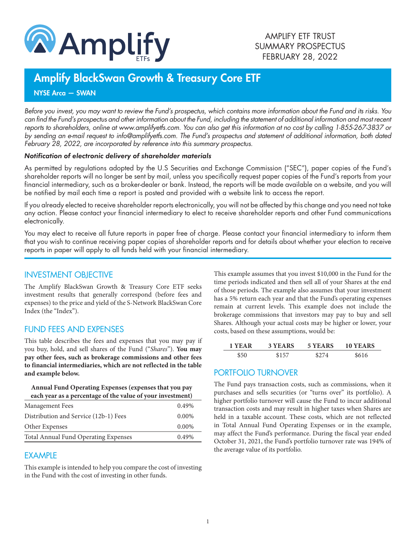

# Amplify BlackSwan Growth & Treasury Core ETF

NYSE Arca — SWAN

*Before you invest, you may want to review the Fund's prospectus, which contains more information about the Fund and its risks. You can find the Fund's prospectus and other information about the Fund, including the statement of additional information and most recent reports to shareholders, online at www.amplifyetfs.com. You can also get this information at no cost by calling 1-855-267-3837 or by sending an e-mail request to info@amplifyetfs.com. The Fund's prospectus and statement of additional information, both dated February 28, 2022, are incorporated by reference into this summary prospectus.*

#### *Notification of electronic delivery of shareholder materials*

As permitted by regulations adopted by the U.S Securities and Exchange Commission ("SEC"), paper copies of the Fund's shareholder reports will no longer be sent by mail, unless you specifically request paper copies of the Fund's reports from your financial intermediary, such as a broker-dealer or bank. Instead, the reports will be made available on a website, and you will be notified by mail each time a report is posted and provided with a website link to access the report.

If you already elected to receive shareholder reports electronically, you will not be affected by this change and you need not take any action. Please contact your financial intermediary to elect to receive shareholder reports and other Fund communications electronically.

You may elect to receive all future reports in paper free of charge. Please contact your financial intermediary to inform them that you wish to continue receiving paper copies of shareholder reports and for details about whether your election to receive reports in paper will apply to all funds held with your financial intermediary.

## INVESTMENT OBJECTIVE

The Amplify BlackSwan Growth & Treasury Core ETF seeks investment results that generally correspond (before fees and expenses) to the price and yield of the S-Network BlackSwan Core Index (the "Index").

# FUND FEES AND EXPENSES

This table describes the fees and expenses that you may pay if you buy, hold, and sell shares of the Fund ("*Shares*"). **You may pay other fees, such as brokerage commissions and other fees to financial intermediaries, which are not reflected in the table and example below.**

#### **Annual Fund Operating Expenses (expenses that you pay each year as a percentage of the value of your investment)**

| Management Fees                       | 0.49%    |
|---------------------------------------|----------|
| Distribution and Service (12b-1) Fees | $0.00\%$ |
| Other Expenses                        | 0.00%    |
| Total Annual Fund Operating Expenses  | 0.49%    |
|                                       |          |

# **FXAMPLE**

This example is intended to help you compare the cost of investing in the Fund with the cost of investing in other funds.

This example assumes that you invest \$10,000 in the Fund for the time periods indicated and then sell all of your Shares at the end of those periods. The example also assumes that your investment has a 5% return each year and that the Fund's operating expenses remain at current levels. This example does not include the brokerage commissions that investors may pay to buy and sell Shares. Although your actual costs may be higher or lower, your costs, based on these assumptions, would be:

| 1 YEAR | 3 YEARS | 5 YEARS | 10 YEARS |
|--------|---------|---------|----------|
|        | ድ 1 5 7 | S 274   |          |

# PORTFOLIO TURNOVER

The Fund pays transaction costs, such as commissions, when it purchases and sells securities (or "turns over" its portfolio). A higher portfolio turnover will cause the Fund to incur additional transaction costs and may result in higher taxes when Shares are held in a taxable account. These costs, which are not reflected in Total Annual Fund Operating Expenses or in the example, may affect the Fund's performance. During the fiscal year ended October 31, 2021, the Fund's portfolio turnover rate was 194% of the average value of its portfolio.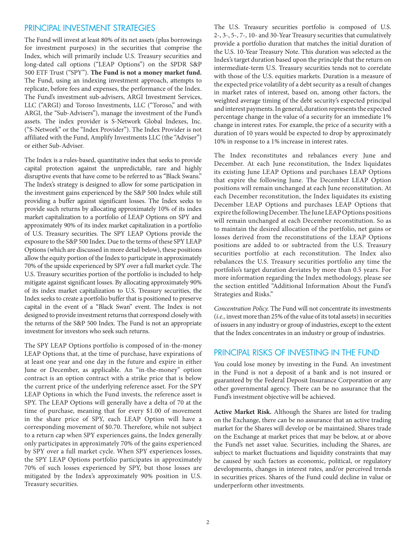## PRINCIPAL INVESTMENT STRATEGIES

The Fund will invest at least 80% of its net assets (plus borrowings for investment purposes) in the securities that comprise the Index, which will primarily include U.S. Treasury securities and long-dated call options ("LEAP Options") on the SPDR S&P 500 ETF Trust ("SPY"). **The Fund is not a money market fund.** The Fund, using an indexing investment approach, attempts to replicate, before fees and expenses, the performance of the Index. The Fund's investment sub-advisers, ARGI Investment Services, LLC ("ARGI) and Toroso Investments, LLC ("Toroso," and with ARGI, the "Sub-Advisers"), manage the investment of the Fund's assets. The index provider is S-Network Global Indexes, Inc. ("S-Network" or the "Index Provider"). The Index Provider is not affiliated with the Fund, Amplify Investments LLC (the "Adviser") or either Sub-Adviser.

The Index is a rules-based, quantitative index that seeks to provide capital protection against the unpredictable, rare and highly disruptive events that have come to be referred to as "Black Swans." The Index's strategy is designed to allow for some participation in the investment gains experienced by the S&P 500 Index while still providing a buffer against significant losses. The Index seeks to provide such returns by allocating approximately 10% of its index market capitalization to a portfolio of LEAP Options on SPY and approximately 90% of its index market capitalization in a portfolio of U.S. Treasury securities. The SPY LEAP Options provide the exposure to the S&P 500 Index. Due to the terms of these SPY LEAP Options (which are discussed in more detail below), these positions allow the equity portion of the Index to participate in approximately 70% of the upside experienced by SPY over a full market cycle. The U.S. Treasury securities portion of the portfolio is included to help mitigate against significant losses. By allocating approximately 90% of its index market capitalization to U.S. Treasury securities, the Index seeks to create a portfolio buffer that is positioned to preserve capital in the event of a "Black Swan" event. The Index is not designed to provide investment returns that correspond closely with the returns of the S&P 500 Index. The Fund is not an appropriate investment for investors who seek such returns.

The SPY LEAP Options portfolio is composed of in-the-money LEAP Options that, at the time of purchase, have expirations of at least one year and one day in the future and expire in either June or December, as applicable. An "in-the-money" option contract is an option contract with a strike price that is below the current price of the underlying reference asset. For the SPY LEAP Options in which the Fund invests, the reference asset is SPY. The LEAP Options will generally have a delta of 70 at the time of purchase, meaning that for every \$1.00 of movement in the share price of SPY, each LEAP Option will have a corresponding movement of \$0.70. Therefore, while not subject to a return cap when SPY experiences gains, the Index generally only participates in approximately 70% of the gains experienced by SPY over a full market cycle. When SPY experiences losses, the SPY LEAP Options portfolio participates in approximately 70% of such losses experienced by SPY, but those losses are mitigated by the Index's approximately 90% position in U.S. Treasury securities.

The U.S. Treasury securities portfolio is composed of U.S. 2-, 3-, 5-, 7-, 10- and 30-Year Treasury securities that cumulatively provide a portfolio duration that matches the initial duration of the U.S. 10-Year Treasury Note. This duration was selected as the Index's target duration based upon the principle that the return on intermediate-term U.S. Treasury securities tends not to correlate with those of the U.S. equities markets. Duration is a measure of the expected price volatility of a debt security as a result of changes in market rates of interest, based on, among other factors, the weighted average timing of the debt security's expected principal and interest payments. In general, duration represents the expected percentage change in the value of a security for an immediate 1% change in interest rates. For example, the price of a security with a duration of 10 years would be expected to drop by approximately 10% in response to a 1% increase in interest rates.

The Index reconstitutes and rebalances every June and December. At each June reconstitution, the Index liquidates its existing June LEAP Options and purchases LEAP Options that expire the following June. The December LEAP Option positions will remain unchanged at each June reconstitution. At each December reconstitution, the Index liquidates its existing December LEAP Options and purchases LEAP Options that expire the following December. The June LEAP Options positions will remain unchanged at each December reconstitution. So as to maintain the desired allocation of the portfolio, net gains or losses derived from the reconstitutions of the LEAP Options positions are added to or subtracted from the U.S. Treasury securities portfolio at each reconstitution. The Index also rebalances the U.S. Treasury securities portfolio any time the portfolio's target duration deviates by more than 0.5 years. For more information regarding the Index methodology, please see the section entitled "Additional Information About the Fund's Strategies and Risks."

*Concentration Policy.* The Fund will not concentrate its investments (*i.e.,* invest more than 25% of the value of its total assets) in securities of issuers in any industry or group of industries, except to the extent that the Index concentrates in an industry or group of industries.

## PRINCIPAL RISKS OF INVESTING IN THE FUND

You could lose money by investing in the Fund. An investment in the Fund is not a deposit of a bank and is not insured or guaranteed by the Federal Deposit Insurance Corporation or any other governmental agency. There can be no assurance that the Fund's investment objective will be achieved.

**Active Market Risk.** Although the Shares are listed for trading on the Exchange, there can be no assurance that an active trading market for the Shares will develop or be maintained. Shares trade on the Exchange at market prices that may be below, at or above the Fund's net asset value. Securities, including the Shares, are subject to market fluctuations and liquidity constraints that may be caused by such factors as economic, political, or regulatory developments, changes in interest rates, and/or perceived trends in securities prices. Shares of the Fund could decline in value or underperform other investments.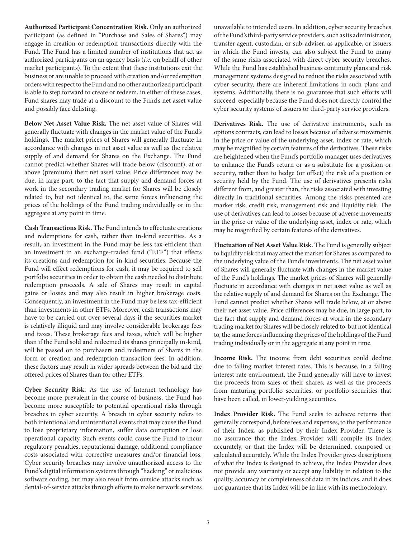**Authorized Participant Concentration Risk.** Only an authorized participant (as defined in "Purchase and Sales of Shares") may engage in creation or redemption transactions directly with the Fund. The Fund has a limited number of institutions that act as authorized participants on an agency basis (*i.e.* on behalf of other market participants). To the extent that these institutions exit the business or are unable to proceed with creation and/or redemption orders with respect to the Fund and no other authorized participant is able to step forward to create or redeem, in either of these cases, Fund shares may trade at a discount to the Fund's net asset value and possibly face delisting.

**Below Net Asset Value Risk.** The net asset value of Shares will generally fluctuate with changes in the market value of the Fund's holdings. The market prices of Shares will generally fluctuate in accordance with changes in net asset value as well as the relative supply of and demand for Shares on the Exchange. The Fund cannot predict whether Shares will trade below (discount), at or above (premium) their net asset value. Price differences may be due, in large part, to the fact that supply and demand forces at work in the secondary trading market for Shares will be closely related to, but not identical to, the same forces influencing the prices of the holdings of the Fund trading individually or in the aggregate at any point in time.

**Cash Transactions Risk.** The Fund intends to effectuate creations and redemptions for cash, rather than in-kind securities. As a result, an investment in the Fund may be less tax-efficient than an investment in an exchange-traded fund ("ETF") that effects its creations and redemption for in-kind securities. Because the Fund will effect redemptions for cash, it may be required to sell portfolio securities in order to obtain the cash needed to distribute redemption proceeds. A sale of Shares may result in capital gains or losses and may also result in higher brokerage costs. Consequently, an investment in the Fund may be less tax-efficient than investments in other ETFs. Moreover, cash transactions may have to be carried out over several days if the securities market is relatively illiquid and may involve considerable brokerage fees and taxes. These brokerage fees and taxes, which will be higher than if the Fund sold and redeemed its shares principally in-kind, will be passed on to purchasers and redeemers of Shares in the form of creation and redemption transaction fees. In addition, these factors may result in wider spreads between the bid and the offered prices of Shares than for other ETFs.

**Cyber Security Risk.** As the use of Internet technology has become more prevalent in the course of business, the Fund has become more susceptible to potential operational risks through breaches in cyber security. A breach in cyber security refers to both intentional and unintentional events that may cause the Fund to lose proprietary information, suffer data corruption or lose operational capacity. Such events could cause the Fund to incur regulatory penalties, reputational damage, additional compliance costs associated with corrective measures and/or financial loss. Cyber security breaches may involve unauthorized access to the Fund's digital information systems through "hacking" or malicious software coding, but may also result from outside attacks such as denial-of-service attacks through efforts to make network services

unavailable to intended users. In addition, cyber security breaches of the Fund's third-party service providers, such as its administrator, transfer agent, custodian, or sub-adviser, as applicable, or issuers in which the Fund invests, can also subject the Fund to many of the same risks associated with direct cyber security breaches. While the Fund has established business continuity plans and risk management systems designed to reduce the risks associated with cyber security, there are inherent limitations in such plans and systems. Additionally, there is no guarantee that such efforts will succeed, especially because the Fund does not directly control the cyber security systems of issuers or third-party service providers.

**Derivatives Risk.** The use of derivative instruments, such as options contracts, can lead to losses because of adverse movements in the price or value of the underlying asset, index or rate, which may be magnified by certain features of the derivatives. These risks are heightened when the Fund's portfolio manager uses derivatives to enhance the Fund's return or as a substitute for a position or security, rather than to hedge (or offset) the risk of a position or security held by the Fund. The use of derivatives presents risks different from, and greater than, the risks associated with investing directly in traditional securities. Among the risks presented are market risk, credit risk, management risk and liquidity risk. The use of derivatives can lead to losses because of adverse movements in the price or value of the underlying asset, index or rate, which may be magnified by certain features of the derivatives.

**Fluctuation of Net Asset Value Risk.** The Fund is generally subject to liquidity risk that may affect the market for Shares as compared to the underlying value of the Fund's investments. The net asset value of Shares will generally fluctuate with changes in the market value of the Fund's holdings. The market prices of Shares will generally fluctuate in accordance with changes in net asset value as well as the relative supply of and demand for Shares on the Exchange. The Fund cannot predict whether Shares will trade below, at or above their net asset value. Price differences may be due, in large part, to the fact that supply and demand forces at work in the secondary trading market for Shares will be closely related to, but not identical to, the same forces influencing the prices of the holdings of the Fund trading individually or in the aggregate at any point in time.

**Income Risk.** The income from debt securities could decline due to falling market interest rates. This is because, in a falling interest rate environment, the Fund generally will have to invest the proceeds from sales of their shares, as well as the proceeds from maturing portfolio securities, or portfolio securities that have been called, in lower-yielding securities.

**Index Provider Risk.** The Fund seeks to achieve returns that generally correspond, before fees and expenses, to the performance of their Index, as published by their Index Provider. There is no assurance that the Index Provider will compile its Index accurately, or that the Index will be determined, composed or calculated accurately. While the Index Provider gives descriptions of what the Index is designed to achieve, the Index Provider does not provide any warranty or accept any liability in relation to the quality, accuracy or completeness of data in its indices, and it does not guarantee that its Index will be in line with its methodology.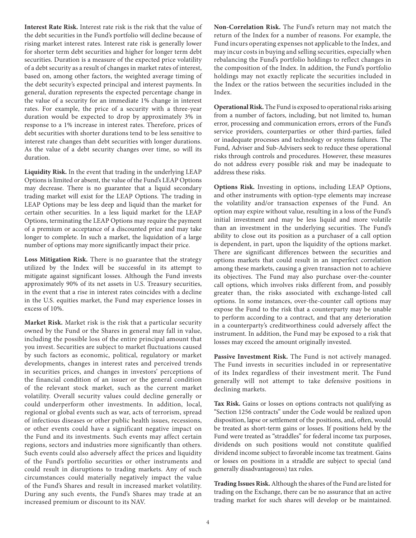**Interest Rate Risk.** Interest rate risk is the risk that the value of the debt securities in the Fund's portfolio will decline because of rising market interest rates. Interest rate risk is generally lower for shorter term debt securities and higher for longer term debt securities. Duration is a measure of the expected price volatility of a debt security as a result of changes in market rates of interest, based on, among other factors, the weighted average timing of the debt security's expected principal and interest payments. In general, duration represents the expected percentage change in the value of a security for an immediate 1% change in interest rates. For example, the price of a security with a three-year duration would be expected to drop by approximately 3% in response to a 1% increase in interest rates. Therefore, prices of debt securities with shorter durations tend to be less sensitive to interest rate changes than debt securities with longer durations. As the value of a debt security changes over time, so will its duration.

**Liquidity Risk.** In the event that trading in the underlying LEAP Options is limited or absent, the value of the Fund's LEAP Options may decrease. There is no guarantee that a liquid secondary trading market will exist for the LEAP Options. The trading in LEAP Options may be less deep and liquid than the market for certain other securities. In a less liquid market for the LEAP Options, terminating the LEAP Options may require the payment of a premium or acceptance of a discounted price and may take longer to complete. In such a market, the liquidation of a large number of options may more significantly impact their price.

**Loss Mitigation Risk.** There is no guarantee that the strategy utilized by the Index will be successful in its attempt to mitigate against significant losses. Although the Fund invests approximately 90% of its net assets in U.S. Treasury securities, in the event that a rise in interest rates coincides with a decline in the U.S. equities market, the Fund may experience losses in excess of 10%.

**Market Risk.** Market risk is the risk that a particular security owned by the Fund or the Shares in general may fall in value, including the possible loss of the entire principal amount that you invest. Securities are subject to market fluctuations caused by such factors as economic, political, regulatory or market developments, changes in interest rates and perceived trends in securities prices, and changes in investors' perceptions of the financial condition of an issuer or the general condition of the relevant stock market, such as the current market volatility. Overall security values could decline generally or could underperform other investments. In addition, local, regional or global events such as war, acts of terrorism, spread of infectious diseases or other public health issues, recessions, or other events could have a significant negative impact on the Fund and its investments. Such events may affect certain regions, sectors and industries more significantly than others. Such events could also adversely affect the prices and liquidity of the Fund's portfolio securities or other instruments and could result in disruptions to trading markets. Any of such circumstances could materially negatively impact the value of the Fund's Shares and result in increased market volatility. During any such events, the Fund's Shares may trade at an increased premium or discount to its NAV.

**Non-Correlation Risk.** The Fund's return may not match the return of the Index for a number of reasons. For example, the Fund incurs operating expenses not applicable to the Index, and may incur costs in buying and selling securities, especially when rebalancing the Fund's portfolio holdings to reflect changes in the composition of the Index. In addition, the Fund's portfolio holdings may not exactly replicate the securities included in the Index or the ratios between the securities included in the Index.

**Operational Risk.** The Fund is exposed to operational risks arising from a number of factors, including, but not limited to, human error, processing and communication errors, errors of the Fund's service providers, counterparties or other third-parties, failed or inadequate processes and technology or systems failures. The Fund, Adviser and Sub-Advisers seek to reduce these operational risks through controls and procedures. However, these measures do not address every possible risk and may be inadequate to address these risks.

**Options Risk.** Investing in options, including LEAP Options, and other instruments with option-type elements may increase the volatility and/or transaction expenses of the Fund. An option may expire without value, resulting in a loss of the Fund's initial investment and may be less liquid and more volatile than an investment in the underlying securities. The Fund's ability to close out its position as a purchaser of a call option is dependent, in part, upon the liquidity of the options market. There are significant differences between the securities and options markets that could result in an imperfect correlation among these markets, causing a given transaction not to achieve its objectives. The Fund may also purchase over-the-counter call options, which involves risks different from, and possibly greater than, the risks associated with exchange-listed call options. In some instances, over-the-counter call options may expose the Fund to the risk that a counterparty may be unable to perform according to a contract, and that any deterioration in a counterparty's creditworthiness could adversely affect the instrument. In addition, the Fund may be exposed to a risk that losses may exceed the amount originally invested.

**Passive Investment Risk.** The Fund is not actively managed. The Fund invests in securities included in or representative of its Index regardless of their investment merit. The Fund generally will not attempt to take defensive positions in declining markets.

**Tax Risk.** Gains or losses on options contracts not qualifying as "Section 1256 contracts" under the Code would be realized upon disposition, lapse or settlement of the positions, and, often, would be treated as short-term gains or losses. If positions held by the Fund were treated as "straddles" for federal income tax purposes, dividends on such positions would not constitute qualified dividend income subject to favorable income tax treatment. Gains or losses on positions in a straddle are subject to special (and generally disadvantageous) tax rules.

**Trading Issues Risk.** Although the shares of the Fund are listed for trading on the Exchange, there can be no assurance that an active trading market for such shares will develop or be maintained.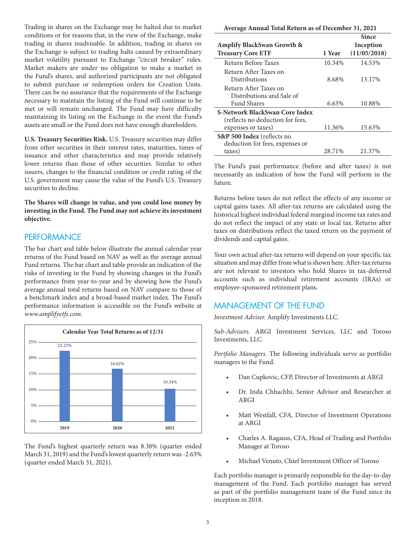Trading in shares on the Exchange may be halted due to market conditions or for reasons that, in the view of the Exchange, make trading in shares inadvisable. In addition, trading in shares on the Exchange is subject to trading halts caused by extraordinary market volatility pursuant to Exchange "circuit breaker" rules. Market makers are under no obligation to make a market in the Fund's shares, and authorized participants are not obligated to submit purchase or redemption orders for Creation Units. There can be no assurance that the requirements of the Exchange necessary to maintain the listing of the Fund will continue to be met or will remain unchanged. The Fund may have difficulty maintaining its listing on the Exchange in the event the Fund's assets are small or the Fund does not have enough shareholders.

**U.S. Treasury Securities Risk.** U.S. Treasury securities may differ from other securities in their interest rates, maturities, times of issuance and other characteristics and may provide relatively lower returns than those of other securities. Similar to other issuers, changes to the financial condition or credit rating of the U.S. government may cause the value of the Fund's U.S. Treasury securities to decline.

**The Shares will change in value, and you could lose money by investing in the Fund. The Fund may not achieve its investment objective.**

#### **PERFORMANCE**

The bar chart and table below illustrate the annual calendar year returns of the Fund based on NAV as well as the average annual Fund returns. The bar chart and table provide an indication of the risks of investing in the Fund by showing changes in the Fund's performance from year-to-year and by showing how the Fund's average annual total returns based on NAV compare to those of a benchmark index and a broad-based market index. The Fund's performance information is accessible on the Fund's website at *www.amplifyetfs.com*.



The Fund's highest quarterly return was 8.38% (quarter ended March 31, 2019) and the Fund's lowest quarterly return was -2.63% (quarter ended March 31, 2021).

| Average Annual Total Return as of December 31, 2021 |        |              |  |  |
|-----------------------------------------------------|--------|--------------|--|--|
|                                                     |        | Since        |  |  |
| <b>Amplify BlackSwan Growth &amp;</b>               |        | Inception    |  |  |
| <b>Treasury Core ETF</b>                            | 1 Year | (11/05/2018) |  |  |
| Return Before Taxes                                 | 10.34% | 14.53%       |  |  |
| Return After Taxes on                               |        |              |  |  |
| Distributions                                       | 8.68%  | 13.17%       |  |  |
| Return After Taxes on                               |        |              |  |  |
| Distributions and Sale of                           |        |              |  |  |
| <b>Fund Shares</b>                                  | 6.63%  | 10.88%       |  |  |
| S-Network BlackSwan Core Index                      |        |              |  |  |
| (reflects no deduction for fees,                    |        |              |  |  |
| expenses or taxes)                                  | 11.36% | 15.63%       |  |  |
| S&P 500 Index (reflects no                          |        |              |  |  |
| deduction for fees, expenses or                     |        |              |  |  |
| taxes)                                              | 28.71% | 21.37%       |  |  |

The Fund's past performance (before and after taxes) is not necessarily an indication of how the Fund will perform in the future.

Returns before taxes do not reflect the effects of any income or capital gains taxes. All after-tax returns are calculated using the historical highest individual federal marginal income tax rates and do not reflect the impact of any state or local tax. Returns after taxes on distributions reflect the taxed return on the payment of dividends and capital gains.

Your own actual after-tax returns will depend on your specific tax situation and may differ from what is shown here. After-tax returns are not relevant to investors who hold Shares in tax-deferred accounts such as individual retirement accounts (IRAs) or employee-sponsored retirement plans.

## MANAGEMENT OF THE FUND

*Investment Adviser.* Amplify Investments LLC.

*Sub-Advisers.* ARGI Investment Services, LLC and Toroso Investments, LLC.

*Portfolio Managers.* The following individuals serve as portfolio managers to the Fund.

- Dan Cupkovic, CFP, Director of Investments at ARGI
- Dr. Indu Chhachhi, Senior Advisor and Researcher at ARGI
- Matt Westfall, CFA, Director of Investment Operations at ARGI
- Charles A. Ragauss, CFA, Head of Trading and Portfolio Manager at Toroso
- Michael Venuto, Chief Investment Officer of Toroso

Each portfolio manager is primarily responsible for the day-to-day management of the Fund. Each portfolio manager has served as part of the portfolio management team of the Fund since its inception in 2018.